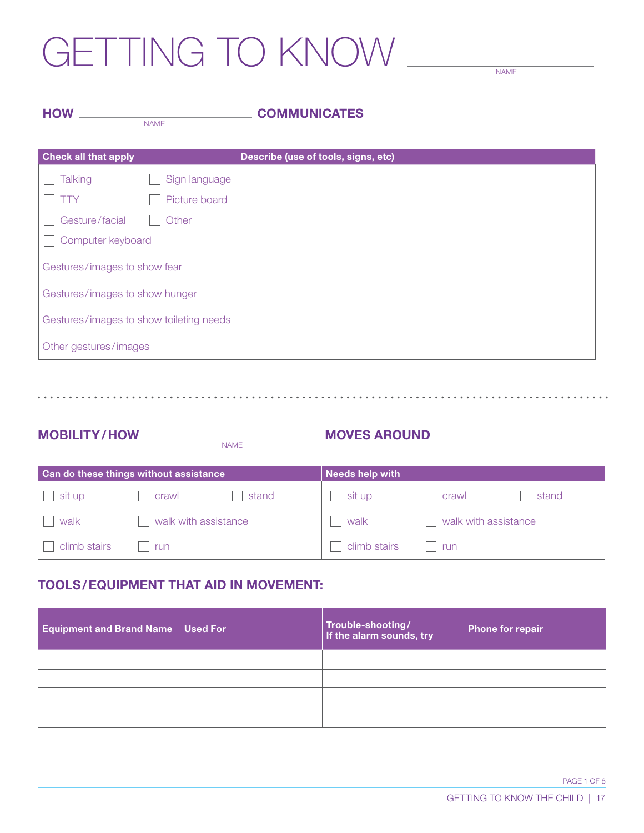## GETTING TO KNOW

NAME

| <b>HOW</b> |             | <b>COMMUNICATES</b> |  |
|------------|-------------|---------------------|--|
|            | <b>NAME</b> |                     |  |
|            |             |                     |  |

| <b>Check all that apply</b>             |               | Describe (use of tools, signs, etc) |
|-----------------------------------------|---------------|-------------------------------------|
| <b>Talking</b>                          | Sign language |                                     |
| 'TY                                     | Picture board |                                     |
| Gesture/facial                          | Other         |                                     |
| Computer keyboard                       |               |                                     |
| Gestures/images to show fear            |               |                                     |
| Gestures/images to show hunger          |               |                                     |
| Gestures/images to show toileting needs |               |                                     |
| Other gestures/images                   |               |                                     |

| <b>MOBILITY/HOW</b> |             | <b>MOVES AROUND</b> |
|---------------------|-------------|---------------------|
|                     | <b>NAME</b> |                     |

| Can do these things without assistance |                      | <b>Needs help with</b> |              |                      |       |
|----------------------------------------|----------------------|------------------------|--------------|----------------------|-------|
| sit up                                 | crawl                | stand                  | sit up       | crawl                | stand |
| walk                                   | walk with assistance |                        | walk         | walk with assistance |       |
| climb stairs                           | run                  |                        | climb stairs | run                  |       |

#### TOOLS/EQUIPMENT THAT AID IN MOVEMENT:

| <b>Equipment and Brand Name</b> | Used For | Trouble-shooting <i>/</i><br>  If the alarm sounds, try | <b>Phone for repair</b> |
|---------------------------------|----------|---------------------------------------------------------|-------------------------|
|                                 |          |                                                         |                         |
|                                 |          |                                                         |                         |
|                                 |          |                                                         |                         |
|                                 |          |                                                         |                         |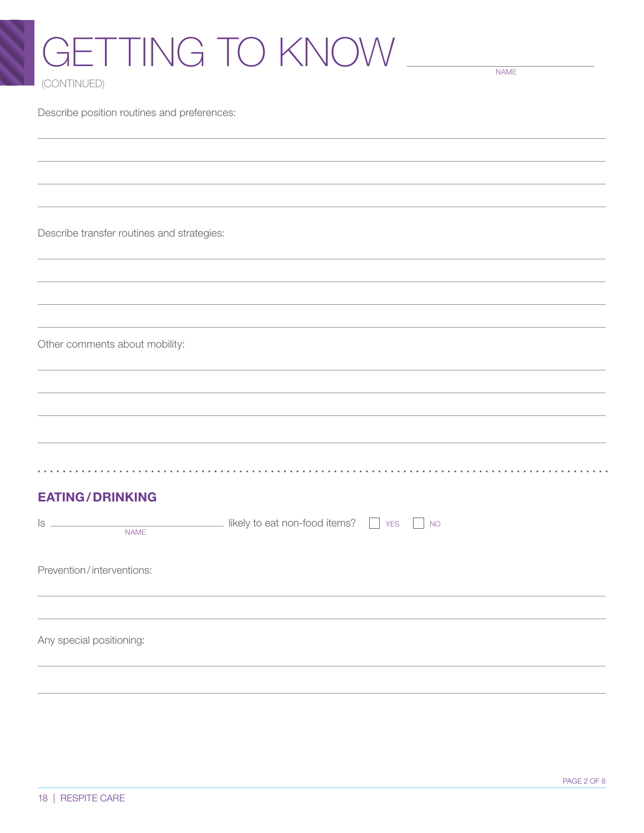## GETTING TO KNOW (CONTINUED)

NAME

Describe position routines and preferences:

Describe transfer routines and strategies:

Other comments about mobility:

#### EATING/DRINKING

| ls<br>the control of the control of the<br><b>NAME</b> | likely to eat non-food items? $\Box$ YES $\Box$ NO |  |
|--------------------------------------------------------|----------------------------------------------------|--|
| Prevention/interventions:                              |                                                    |  |
|                                                        |                                                    |  |
| Any special positioning:                               |                                                    |  |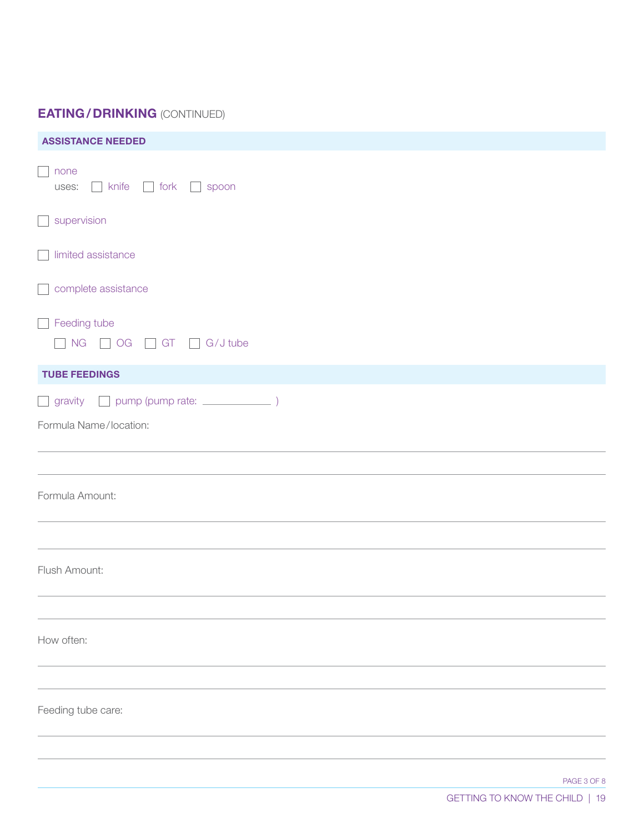### EATING/DRINKING (CONTINUED)

| <b>ASSISTANCE NEEDED</b>                                      |  |
|---------------------------------------------------------------|--|
| none<br>$\blacksquare$<br>$\Box$ knife<br>fork spoon<br>uses: |  |
| $\Box$ supervision                                            |  |
| $\Box$ limited assistance                                     |  |
| complete assistance                                           |  |
| Feeding tube<br>NG OG GT G/J tube                             |  |
| <b>TUBE FEEDINGS</b>                                          |  |
| Formula Name/location:                                        |  |
| Formula Amount:                                               |  |
|                                                               |  |
| Flush Amount:                                                 |  |
| How often:                                                    |  |
|                                                               |  |
| Feeding tube care:                                            |  |
|                                                               |  |
|                                                               |  |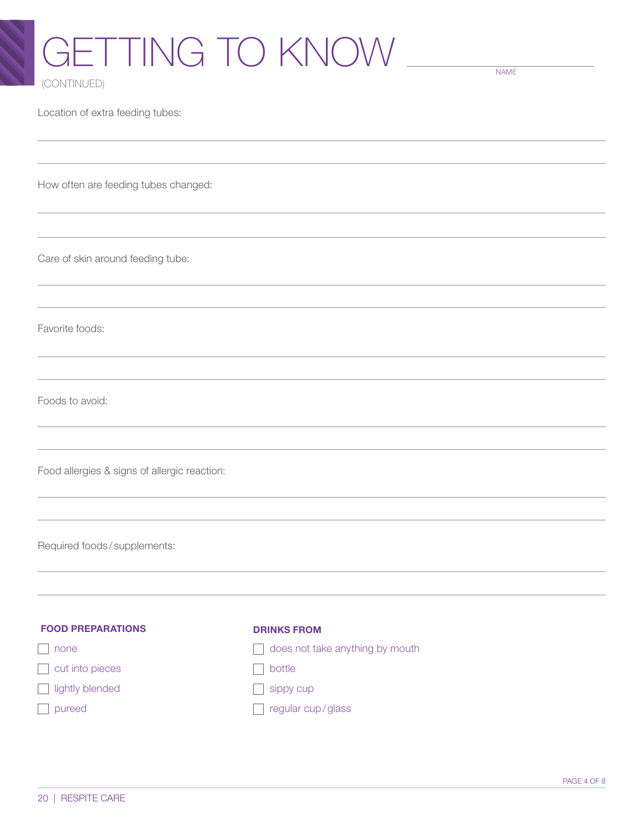# GETTING TO KNOW

NAME

(CONTINUED)

Location of extra feeding tubes:

How often are feeding tubes changed:

Care of skin around feeding tube:

Favorite foods:

Foods to avoid:

Food allergies & signs of allergic reaction:

Required foods / supplements:

| <b>FOOD PREPARATIONS</b> | <b>DRINKS FROM</b>              |
|--------------------------|---------------------------------|
| none                     | does not take anything by mouth |
| $\Box$ cut into pieces   | bottle                          |
| ightly blended           | sippy cup                       |
| pureed                   | regular cup/glass               |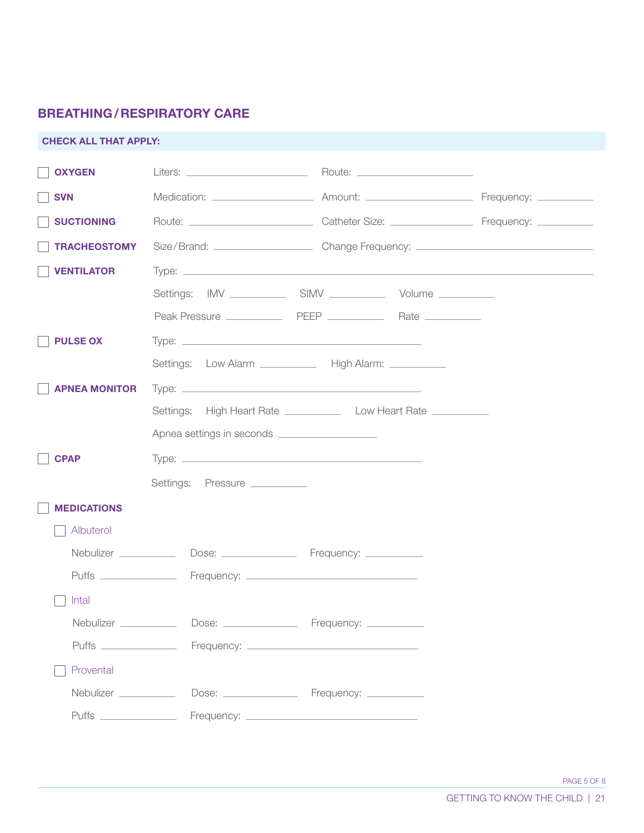### BREATHING/RESPIRATORY CARE

| <b>CHECK ALL THAT APPLY:</b> |                                                |                                                                                                     |  |
|------------------------------|------------------------------------------------|-----------------------------------------------------------------------------------------------------|--|
| <b>OXYGEN</b>                |                                                |                                                                                                     |  |
| <b>SVN</b>                   |                                                |                                                                                                     |  |
| <b>SUCTIONING</b>            |                                                |                                                                                                     |  |
| <b>TRACHEOSTOMY</b>          |                                                | Size/Brand: ___________________________________Change Frequency: __________________________________ |  |
| <b>VENTILATOR</b>            |                                                |                                                                                                     |  |
|                              |                                                |                                                                                                     |  |
|                              |                                                |                                                                                                     |  |
| <b>PULSE OX</b>              |                                                |                                                                                                     |  |
|                              |                                                | Settings: Low Alarm _____________ High Alarm: _________                                             |  |
| <b>APNEA MONITOR</b>         |                                                |                                                                                                     |  |
|                              |                                                | Settings: High Heart Rate _______________________ Low Heart Rate _______________                    |  |
|                              | Apnea settings in seconds ____________________ |                                                                                                     |  |
| <b>CPAP</b>                  |                                                |                                                                                                     |  |
|                              | Settings: Pressure __________                  |                                                                                                     |  |
| <b>MEDICATIONS</b>           |                                                |                                                                                                     |  |
| Albuterol                    |                                                |                                                                                                     |  |
| Nebulizer ___________        |                                                |                                                                                                     |  |
|                              |                                                |                                                                                                     |  |
| Intal                        |                                                |                                                                                                     |  |
|                              |                                                |                                                                                                     |  |
|                              |                                                |                                                                                                     |  |
| Provental                    |                                                |                                                                                                     |  |
| Nebulizer __________         |                                                |                                                                                                     |  |
|                              |                                                |                                                                                                     |  |
|                              |                                                |                                                                                                     |  |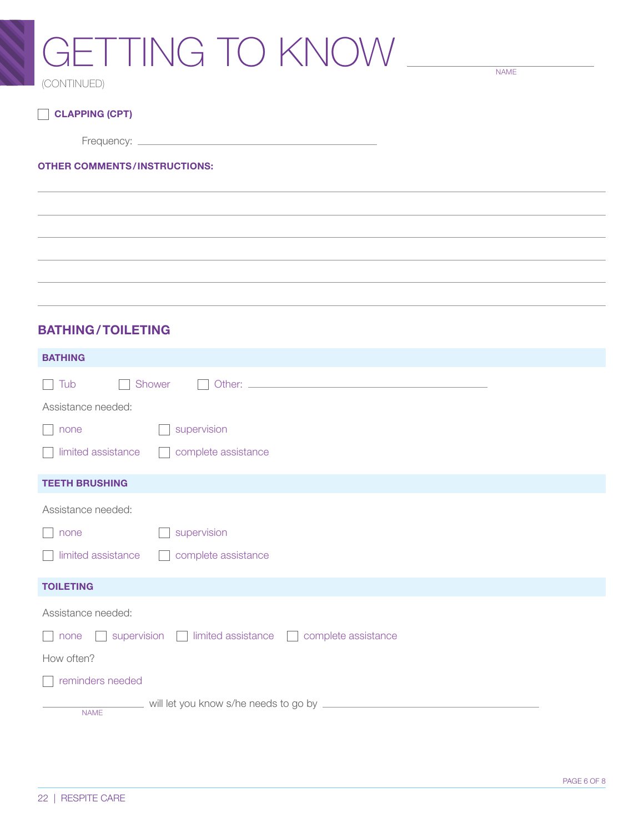### GETTING TO KNOW (CONTINUED)

NAME

CLAPPING (CPT)

Frequency:

#### OTHER COMMENTS/INSTRUCTIONS:

#### BATHING/TOILETING

| <b>BATHING</b>                                            |
|-----------------------------------------------------------|
| Tub<br>Shower<br>$\mathcal{L}$                            |
| Assistance needed:                                        |
| supervision<br>none                                       |
| limited assistance<br>complete assistance                 |
| <b>TEETH BRUSHING</b>                                     |
| Assistance needed:                                        |
| supervision<br>none                                       |
| limited assistance<br>complete assistance                 |
| <b>TOILETING</b>                                          |
| Assistance needed:                                        |
| supervision imited assistance complete assistance<br>none |
| How often?                                                |
| reminders needed                                          |
| <b>NAME</b>                                               |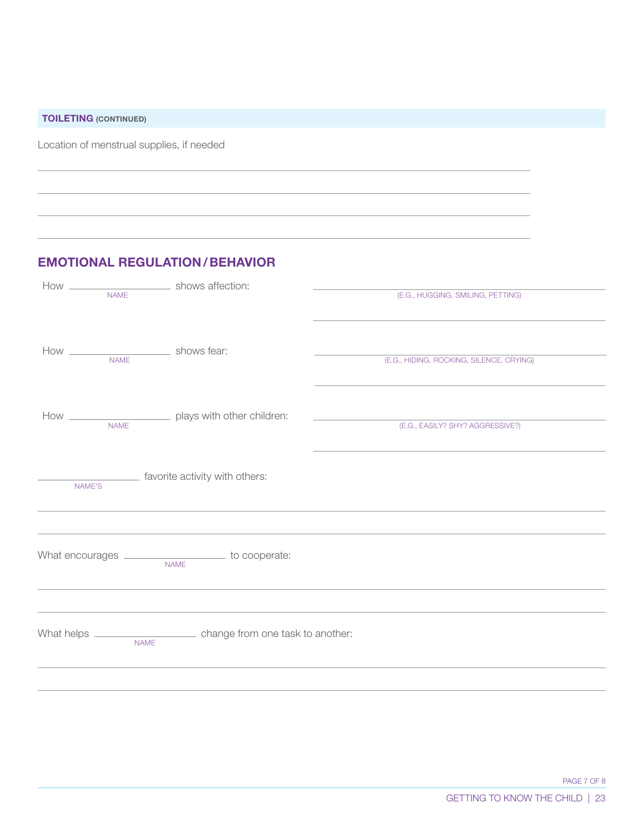TOILETING (CONTINUED)

Location of menstrual supplies, if needed

#### EMOTIONAL REGULATION/BEHAVIOR

| <b>NAME</b> |                                                                     | (E.G., HUGGING, SMILING, PETTING)        |
|-------------|---------------------------------------------------------------------|------------------------------------------|
|             |                                                                     | (E.G., HIDING, ROCKING, SILENCE, CRYING) |
|             |                                                                     |                                          |
| <b>NAME</b> | How ___________________________ plays with other children:          | (E.G., EASILY? SHY? AGGRESSIVE?)         |
| NAME'S      | favorite activity with others:                                      |                                          |
|             |                                                                     |                                          |
|             | What encourages ______________________ to cooperate:<br><b>NAME</b> |                                          |
|             |                                                                     |                                          |
|             | <b>NAME</b>                                                         |                                          |
|             |                                                                     |                                          |

PAGE 7 OF 8